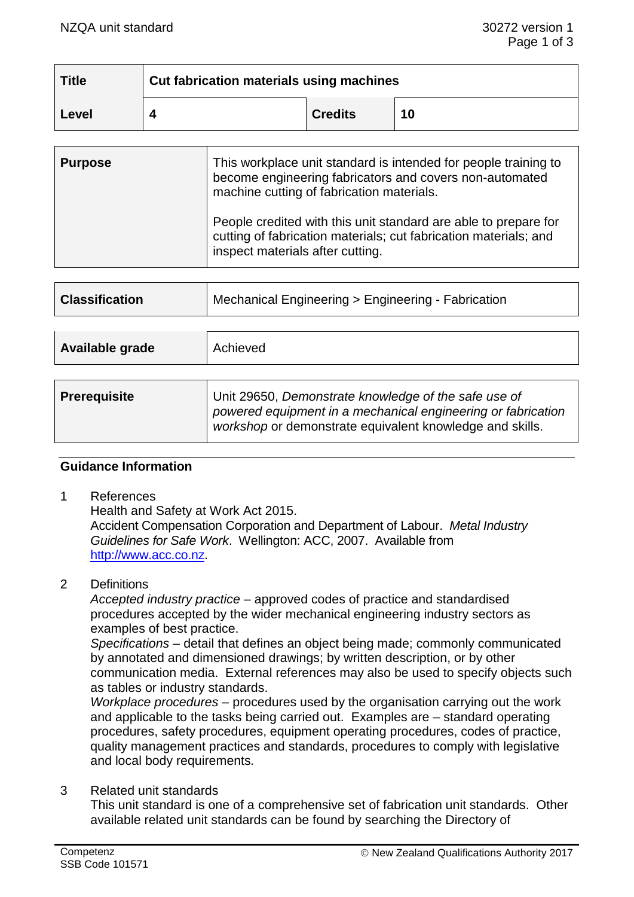| <b>Title</b> | Cut fabrication materials using machines |                |    |
|--------------|------------------------------------------|----------------|----|
| Level        |                                          | <b>Credits</b> | 10 |

| <b>Purpose</b> | This workplace unit standard is intended for people training to<br>become engineering fabricators and covers non-automated<br>machine cutting of fabrication materials. |
|----------------|-------------------------------------------------------------------------------------------------------------------------------------------------------------------------|
|                | People credited with this unit standard are able to prepare for<br>cutting of fabrication materials; cut fabrication materials; and<br>inspect materials after cutting. |

|  | <b>Classification</b> | Mechanical Engineering > Engineering - Fabrication |
|--|-----------------------|----------------------------------------------------|
|--|-----------------------|----------------------------------------------------|

| Available grade<br>Achieved |                                                                                                                                                                                                                                                                                                                                    |
|-----------------------------|------------------------------------------------------------------------------------------------------------------------------------------------------------------------------------------------------------------------------------------------------------------------------------------------------------------------------------|
|                             | $\mathbf{1}$ $\mathbf{1}$ $\mathbf{1}$ $\mathbf{1}$ $\mathbf{1}$ $\mathbf{0}$ $\mathbf{0}$ $\mathbf{0}$ $\mathbf{0}$ $\mathbf{0}$ $\mathbf{0}$ $\mathbf{0}$ $\mathbf{0}$ $\mathbf{0}$ $\mathbf{0}$ $\mathbf{0}$ $\mathbf{0}$ $\mathbf{0}$ $\mathbf{0}$ $\mathbf{0}$ $\mathbf{0}$ $\mathbf{0}$ $\mathbf{0}$ $\mathbf{0}$ $\mathbf{$ |

| <b>Prerequisite</b> | Unit 29650, Demonstrate knowledge of the safe use of                                                                     |  |
|---------------------|--------------------------------------------------------------------------------------------------------------------------|--|
|                     | powered equipment in a mechanical engineering or fabrication<br>workshop or demonstrate equivalent knowledge and skills. |  |
|                     |                                                                                                                          |  |

## **Guidance Information**

1 References

Health and Safety at Work Act 2015.

Accident Compensation Corporation and Department of Labour. *Metal Industry Guidelines for Safe Work*. Wellington: ACC, 2007. Available from [http://www.acc.co.nz.](http://www.acc.co.nz/)

2 Definitions

*Accepted industry practice –* approved codes of practice and standardised procedures accepted by the wider mechanical engineering industry sectors as examples of best practice.

*Specifications –* detail that defines an object being made; commonly communicated by annotated and dimensioned drawings; by written description, or by other communication media. External references may also be used to specify objects such as tables or industry standards.

*Workplace procedures –* procedures used by the organisation carrying out the work and applicable to the tasks being carried out. Examples are – standard operating procedures, safety procedures, equipment operating procedures, codes of practice, quality management practices and standards, procedures to comply with legislative and local body requirements*.*

3 Related unit standards

This unit standard is one of a comprehensive set of fabrication unit standards. Other available related unit standards can be found by searching the Directory of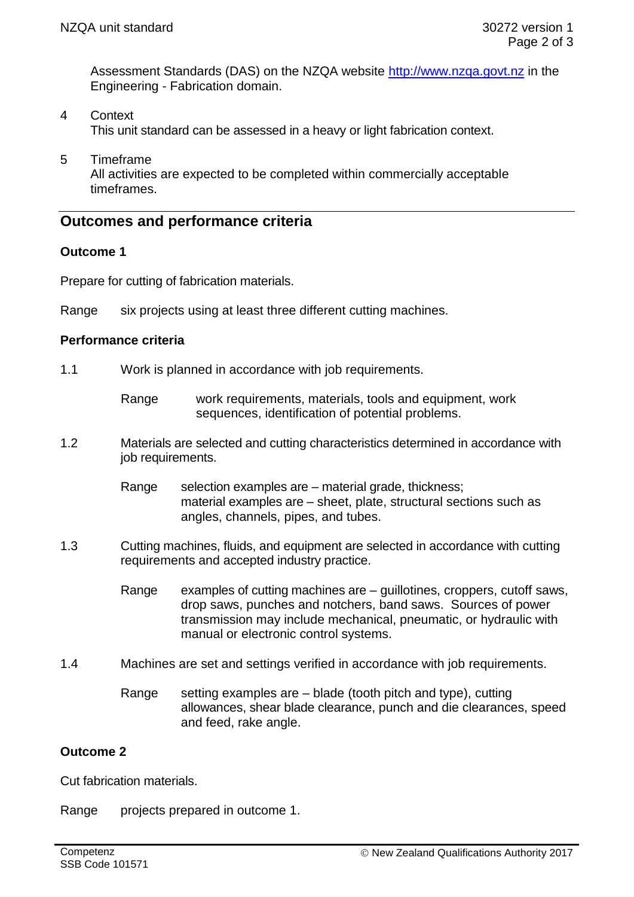Assessment Standards (DAS) on the NZQA website [http://www.nzqa.govt.nz](http://www.nzqa.govt.nz/) in the Engineering - Fabrication domain.

- 4 Context This unit standard can be assessed in a heavy or light fabrication context.
- 5 Timeframe All activities are expected to be completed within commercially acceptable timeframes.

# **Outcomes and performance criteria**

## **Outcome 1**

Prepare for cutting of fabrication materials.

Range six projects using at least three different cutting machines.

## **Performance criteria**

- 1.1 Work is planned in accordance with job requirements.
	- Range work requirements, materials, tools and equipment, work sequences, identification of potential problems.
- 1.2 Materials are selected and cutting characteristics determined in accordance with job requirements.
	- Range selection examples are material grade, thickness; material examples are – sheet, plate, structural sections such as angles, channels, pipes, and tubes.
- 1.3 Cutting machines, fluids, and equipment are selected in accordance with cutting requirements and accepted industry practice.
	- Range examples of cutting machines are guillotines, croppers, cutoff saws, drop saws, punches and notchers, band saws. Sources of power transmission may include mechanical, pneumatic, or hydraulic with manual or electronic control systems.
- 1.4 Machines are set and settings verified in accordance with job requirements.
	- Range setting examples are blade (tooth pitch and type), cutting allowances, shear blade clearance, punch and die clearances, speed and feed, rake angle.

## **Outcome 2**

Cut fabrication materials.

Range projects prepared in outcome 1.